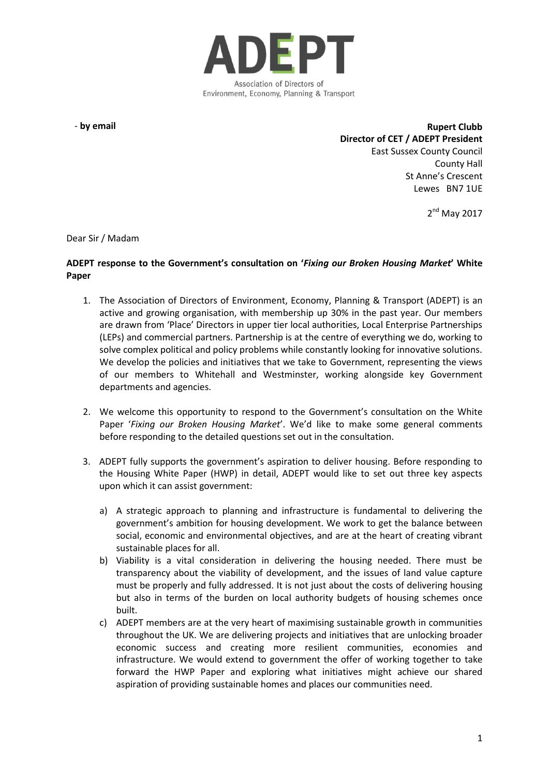

- **by email**

**Rupert Clubb Director of CET / ADEPT President** East Sussex County Council County Hall St Anne's Crescent Lewes BN7 1UE

2<sup>nd</sup> May 2017

Dear Sir / Madam

#### **ADEPT response to the Government's consultation on '***Fixing our Broken Housing Market***' White Paper**

- 1. The Association of Directors of Environment, Economy, Planning & Transport (ADEPT) is an active and growing organisation, with membership up 30% in the past year. Our members are drawn from 'Place' Directors in upper tier local authorities, Local Enterprise Partnerships (LEPs) and commercial partners. Partnership is at the centre of everything we do, working to solve complex political and policy problems while constantly looking for innovative solutions. We develop the policies and initiatives that we take to Government, representing the views of our members to Whitehall and Westminster, working alongside key Government departments and agencies.
- 2. We welcome this opportunity to respond to the Government's consultation on the White Paper '*Fixing our Broken Housing Market*'. We'd like to make some general comments before responding to the detailed questions set out in the consultation.
- 3. ADEPT fully supports the government's aspiration to deliver housing. Before responding to the Housing White Paper (HWP) in detail, ADEPT would like to set out three key aspects upon which it can assist government:
	- a) A strategic approach to planning and infrastructure is fundamental to delivering the government's ambition for housing development. We work to get the balance between social, economic and environmental objectives, and are at the heart of creating vibrant sustainable places for all.
	- b) Viability is a vital consideration in delivering the housing needed. There must be transparency about the viability of development, and the issues of land value capture must be properly and fully addressed. It is not just about the costs of delivering housing but also in terms of the burden on local authority budgets of housing schemes once built.
	- c) ADEPT members are at the very heart of maximising sustainable growth in communities throughout the UK. We are delivering projects and initiatives that are unlocking broader economic success and creating more resilient communities, economies and infrastructure. We would extend to government the offer of working together to take forward the HWP Paper and exploring what initiatives might achieve our shared aspiration of providing sustainable homes and places our communities need.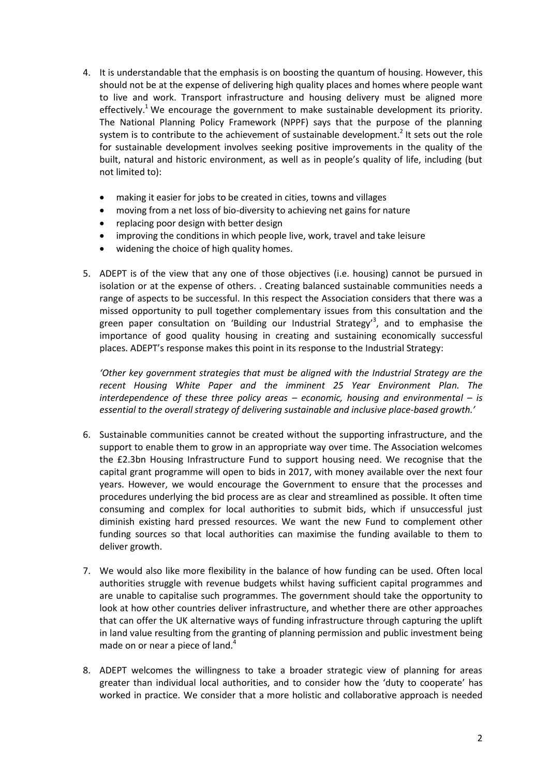- 4. It is understandable that the emphasis is on boosting the quantum of housing. However, this should not be at the expense of delivering high quality places and homes where people want to live and work. Transport infrastructure and housing delivery must be aligned more effectively.<sup>1</sup> We encourage the government to make sustainable development its priority. The National Planning Policy Framework (NPPF) says that the purpose of the planning system is to contribute to the achievement of sustainable development.<sup>2</sup> It sets out the role for sustainable development involves seeking positive improvements in the quality of the built, natural and historic environment, as well as in people's quality of life, including (but not limited to):
	- making it easier for jobs to be created in cities, towns and villages
	- moving from a net loss of bio-diversity to achieving net gains for nature
	- replacing poor design with better design
	- improving the conditions in which people live, work, travel and take leisure
	- widening the choice of high quality homes.
- 5. ADEPT is of the view that any one of those objectives (i.e. housing) cannot be pursued in isolation or at the expense of others. . Creating balanced sustainable communities needs a range of aspects to be successful. In this respect the Association considers that there was a missed opportunity to pull together complementary issues from this consultation and the green paper consultation on 'Building our Industrial Strategy'<sup>3</sup>, and to emphasise the importance of good quality housing in creating and sustaining economically successful places. ADEPT's response makes this point in its response to the Industrial Strategy:

*'Other key government strategies that must be aligned with the Industrial Strategy are the recent Housing White Paper and the imminent 25 Year Environment Plan. The interdependence of these three policy areas – economic, housing and environmental – is essential to the overall strategy of delivering sustainable and inclusive place-based growth.'*

- 6. Sustainable communities cannot be created without the supporting infrastructure, and the support to enable them to grow in an appropriate way over time. The Association welcomes the £2.3bn Housing Infrastructure Fund to support housing need. We recognise that the capital grant programme will open to bids in 2017, with money available over the next four years. However, we would encourage the Government to ensure that the processes and procedures underlying the bid process are as clear and streamlined as possible. It often time consuming and complex for local authorities to submit bids, which if unsuccessful just diminish existing hard pressed resources. We want the new Fund to complement other funding sources so that local authorities can maximise the funding available to them to deliver growth.
- 7. We would also like more flexibility in the balance of how funding can be used. Often local authorities struggle with revenue budgets whilst having sufficient capital programmes and are unable to capitalise such programmes. The government should take the opportunity to look at how other countries deliver infrastructure, and whether there are other approaches that can offer the UK alternative ways of funding infrastructure through capturing the uplift in land value resulting from the granting of planning permission and public investment being made on or near a piece of land.<sup>4</sup>
- 8. ADEPT welcomes the willingness to take a broader strategic view of planning for areas greater than individual local authorities, and to consider how the 'duty to cooperate' has worked in practice. We consider that a more holistic and collaborative approach is needed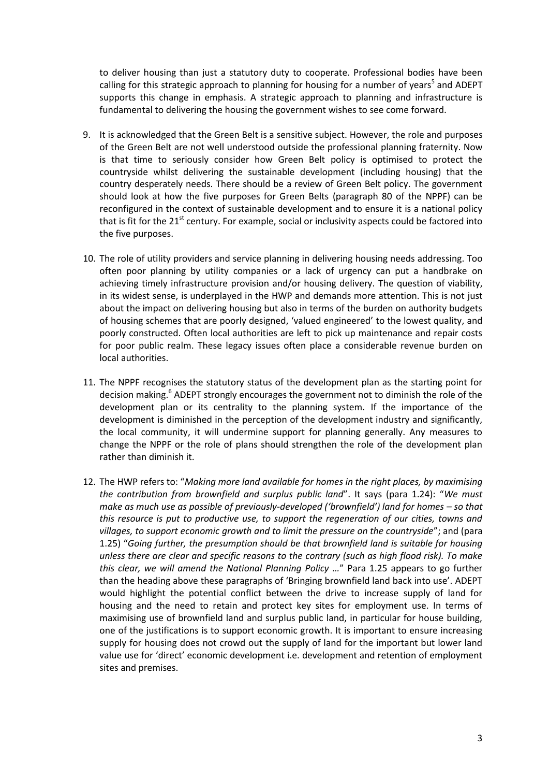to deliver housing than just a statutory duty to cooperate. Professional bodies have been calling for this strategic approach to planning for housing for a number of years<sup>5</sup> and ADEPT supports this change in emphasis. A strategic approach to planning and infrastructure is fundamental to delivering the housing the government wishes to see come forward.

- 9. It is acknowledged that the Green Belt is a sensitive subject. However, the role and purposes of the Green Belt are not well understood outside the professional planning fraternity. Now is that time to seriously consider how Green Belt policy is optimised to protect the countryside whilst delivering the sustainable development (including housing) that the country desperately needs. There should be a review of Green Belt policy. The government should look at how the five purposes for Green Belts (paragraph 80 of the NPPF) can be reconfigured in the context of sustainable development and to ensure it is a national policy that is fit for the  $21<sup>st</sup>$  century. For example, social or inclusivity aspects could be factored into the five purposes.
- 10. The role of utility providers and service planning in delivering housing needs addressing. Too often poor planning by utility companies or a lack of urgency can put a handbrake on achieving timely infrastructure provision and/or housing delivery. The question of viability, in its widest sense, is underplayed in the HWP and demands more attention. This is not just about the impact on delivering housing but also in terms of the burden on authority budgets of housing schemes that are poorly designed, 'valued engineered' to the lowest quality, and poorly constructed. Often local authorities are left to pick up maintenance and repair costs for poor public realm. These legacy issues often place a considerable revenue burden on local authorities.
- 11. The NPPF recognises the statutory status of the development plan as the starting point for decision making.<sup>6</sup> ADEPT strongly encourages the government not to diminish the role of the development plan or its centrality to the planning system. If the importance of the development is diminished in the perception of the development industry and significantly, the local community, it will undermine support for planning generally. Any measures to change the NPPF or the role of plans should strengthen the role of the development plan rather than diminish it.
- 12. The HWP refers to: "*Making more land available for homes in the right places, by maximising the contribution from brownfield and surplus public land*". It says (para 1.24): "*We must make as much use as possible of previously-developed ('brownfield') land for homes – so that this resource is put to productive use, to support the regeneration of our cities, towns and villages, to support economic growth and to limit the pressure on the countryside*"; and (para 1.25) "*Going further, the presumption should be that brownfield land is suitable for housing unless there are clear and specific reasons to the contrary (such as high flood risk). To make this clear, we will amend the National Planning Policy …*" Para 1.25 appears to go further than the heading above these paragraphs of 'Bringing brownfield land back into use'. ADEPT would highlight the potential conflict between the drive to increase supply of land for housing and the need to retain and protect key sites for employment use. In terms of maximising use of brownfield land and surplus public land, in particular for house building, one of the justifications is to support economic growth. It is important to ensure increasing supply for housing does not crowd out the supply of land for the important but lower land value use for 'direct' economic development i.e. development and retention of employment sites and premises.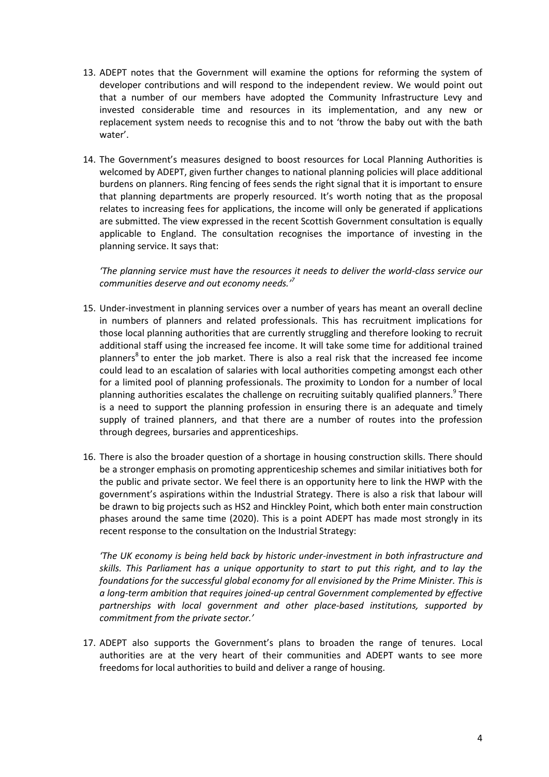- 13. ADEPT notes that the Government will examine the options for reforming the system of developer contributions and will respond to the independent review. We would point out that a number of our members have adopted the Community Infrastructure Levy and invested considerable time and resources in its implementation, and any new or replacement system needs to recognise this and to not 'throw the baby out with the bath water'.
- 14. The Government's measures designed to boost resources for Local Planning Authorities is welcomed by ADEPT, given further changes to national planning policies will place additional burdens on planners. Ring fencing of fees sends the right signal that it is important to ensure that planning departments are properly resourced. It's worth noting that as the proposal relates to increasing fees for applications, the income will only be generated if applications are submitted. The view expressed in the recent Scottish Government consultation is equally applicable to England. The consultation recognises the importance of investing in the planning service. It says that:

*'The planning service must have the resources it needs to deliver the world-class service our communities deserve and out economy needs.' 7*

- 15. Under-investment in planning services over a number of years has meant an overall decline in numbers of planners and related professionals. This has recruitment implications for those local planning authorities that are currently struggling and therefore looking to recruit additional staff using the increased fee income. It will take some time for additional trained planners<sup>8</sup> to enter the job market. There is also a real risk that the increased fee income could lead to an escalation of salaries with local authorities competing amongst each other for a limited pool of planning professionals. The proximity to London for a number of local planning authorities escalates the challenge on recruiting suitably qualified planners.<sup>9</sup> There is a need to support the planning profession in ensuring there is an adequate and timely supply of trained planners, and that there are a number of routes into the profession through degrees, bursaries and apprenticeships.
- 16. There is also the broader question of a shortage in housing construction skills. There should be a stronger emphasis on promoting apprenticeship schemes and similar initiatives both for the public and private sector. We feel there is an opportunity here to link the HWP with the government's aspirations within the Industrial Strategy. There is also a risk that labour will be drawn to big projects such as HS2 and Hinckley Point, which both enter main construction phases around the same time (2020). This is a point ADEPT has made most strongly in its recent response to the consultation on the Industrial Strategy:

*'The UK economy is being held back by historic under-investment in both infrastructure and skills. This Parliament has a unique opportunity to start to put this right, and to lay the foundations for the successful global economy for all envisioned by the Prime Minister. This is a long-term ambition that requires joined-up central Government complemented by effective partnerships with local government and other place-based institutions, supported by commitment from the private sector.'*

17. ADEPT also supports the Government's plans to broaden the range of tenures. Local authorities are at the very heart of their communities and ADEPT wants to see more freedoms for local authorities to build and deliver a range of housing.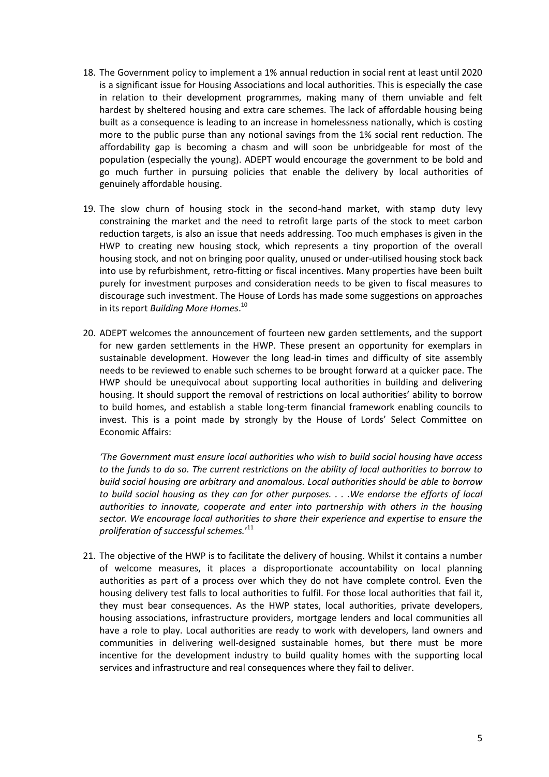- 18. The Government policy to implement a 1% annual reduction in social rent at least until 2020 is a significant issue for Housing Associations and local authorities. This is especially the case in relation to their development programmes, making many of them unviable and felt hardest by sheltered housing and extra care schemes. The lack of affordable housing being built as a consequence is leading to an increase in homelessness nationally, which is costing more to the public purse than any notional savings from the 1% social rent reduction. The affordability gap is becoming a chasm and will soon be unbridgeable for most of the population (especially the young). ADEPT would encourage the government to be bold and go much further in pursuing policies that enable the delivery by local authorities of genuinely affordable housing.
- 19. The slow churn of housing stock in the second-hand market, with stamp duty levy constraining the market and the need to retrofit large parts of the stock to meet carbon reduction targets, is also an issue that needs addressing. Too much emphases is given in the HWP to creating new housing stock, which represents a tiny proportion of the overall housing stock, and not on bringing poor quality, unused or under-utilised housing stock back into use by refurbishment, retro-fitting or fiscal incentives. Many properties have been built purely for investment purposes and consideration needs to be given to fiscal measures to discourage such investment. The House of Lords has made some suggestions on approaches in its report *Building More Homes*. 10
- 20. ADEPT welcomes the announcement of fourteen new garden settlements, and the support for new garden settlements in the HWP. These present an opportunity for exemplars in sustainable development. However the long lead-in times and difficulty of site assembly needs to be reviewed to enable such schemes to be brought forward at a quicker pace. The HWP should be unequivocal about supporting local authorities in building and delivering housing. It should support the removal of restrictions on local authorities' ability to borrow to build homes, and establish a stable long-term financial framework enabling councils to invest. This is a point made by strongly by the House of Lords' Select Committee on Economic Affairs:

*'The Government must ensure local authorities who wish to build social housing have access to the funds to do so. The current restrictions on the ability of local authorities to borrow to build social housing are arbitrary and anomalous. Local authorities should be able to borrow to build social housing as they can for other purposes. . . .We endorse the efforts of local authorities to innovate, cooperate and enter into partnership with others in the housing sector. We encourage local authorities to share their experience and expertise to ensure the proliferation of successful schemes.*' 11

21. The objective of the HWP is to facilitate the delivery of housing. Whilst it contains a number of welcome measures, it places a disproportionate accountability on local planning authorities as part of a process over which they do not have complete control. Even the housing delivery test falls to local authorities to fulfil. For those local authorities that fail it, they must bear consequences. As the HWP states, local authorities, private developers, housing associations, infrastructure providers, mortgage lenders and local communities all have a role to play. Local authorities are ready to work with developers, land owners and communities in delivering well-designed sustainable homes, but there must be more incentive for the development industry to build quality homes with the supporting local services and infrastructure and real consequences where they fail to deliver.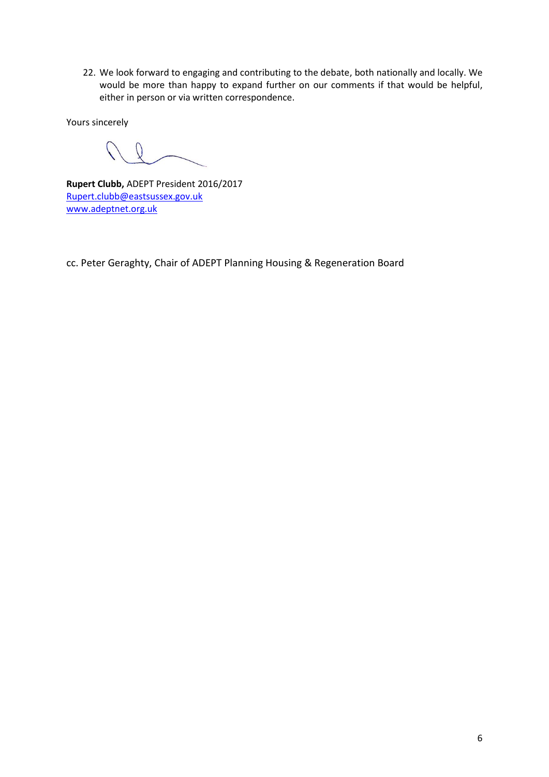22. We look forward to engaging and contributing to the debate, both nationally and locally. We would be more than happy to expand further on our comments if that would be helpful, either in person or via written correspondence.

Yours sincerely

**Rupert Clubb,** ADEPT President 2016/2017 [Rupert.clubb@eastsussex.gov.uk](mailto:Rupert.clubb@eastsussex.gov.uk) [www.adeptnet.org.uk](http://www.adeptnet.org.uk/)

cc. Peter Geraghty, Chair of ADEPT Planning Housing & Regeneration Board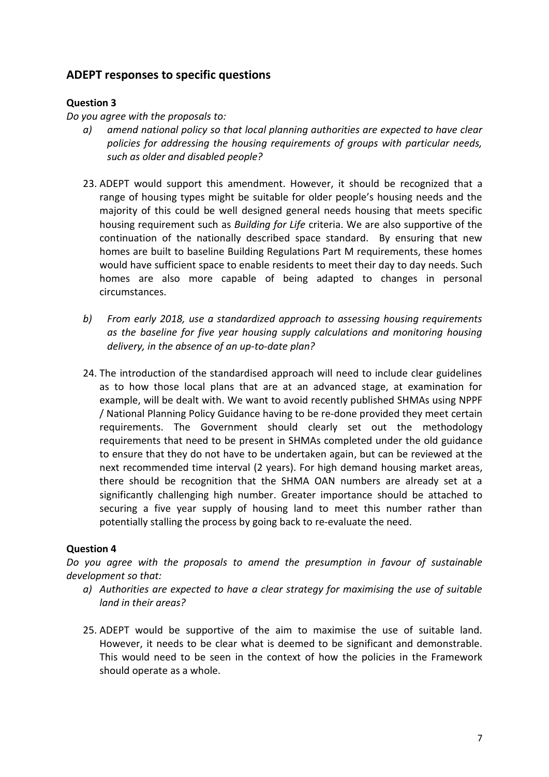# **ADEPT responses to specific questions**

## **Question 3**

*Do you agree with the proposals to:*

- *a) amend national policy so that local planning authorities are expected to have clear policies for addressing the housing requirements of groups with particular needs, such as older and disabled people?*
- 23. ADEPT would support this amendment. However, it should be recognized that a range of housing types might be suitable for older people's housing needs and the majority of this could be well designed general needs housing that meets specific housing requirement such as *Building for Life* criteria. We are also supportive of the continuation of the nationally described space standard. By ensuring that new homes are built to baseline Building Regulations Part M requirements, these homes would have sufficient space to enable residents to meet their day to day needs. Such homes are also more capable of being adapted to changes in personal circumstances.
- *b) From early 2018, use a standardized approach to assessing housing requirements as the baseline for five year housing supply calculations and monitoring housing delivery, in the absence of an up-to-date plan?*
- 24. The introduction of the standardised approach will need to include clear guidelines as to how those local plans that are at an advanced stage, at examination for example, will be dealt with. We want to avoid recently published SHMAs using NPPF / National Planning Policy Guidance having to be re-done provided they meet certain requirements. The Government should clearly set out the methodology requirements that need to be present in SHMAs completed under the old guidance to ensure that they do not have to be undertaken again, but can be reviewed at the next recommended time interval (2 years). For high demand housing market areas, there should be recognition that the SHMA OAN numbers are already set at a significantly challenging high number. Greater importance should be attached to securing a five year supply of housing land to meet this number rather than potentially stalling the process by going back to re-evaluate the need.

## **Question 4**

*Do you agree with the proposals to amend the presumption in favour of sustainable development so that:* 

- *a) Authorities are expected to have a clear strategy for maximising the use of suitable land in their areas?*
- 25. ADEPT would be supportive of the aim to maximise the use of suitable land. However, it needs to be clear what is deemed to be significant and demonstrable. This would need to be seen in the context of how the policies in the Framework should operate as a whole.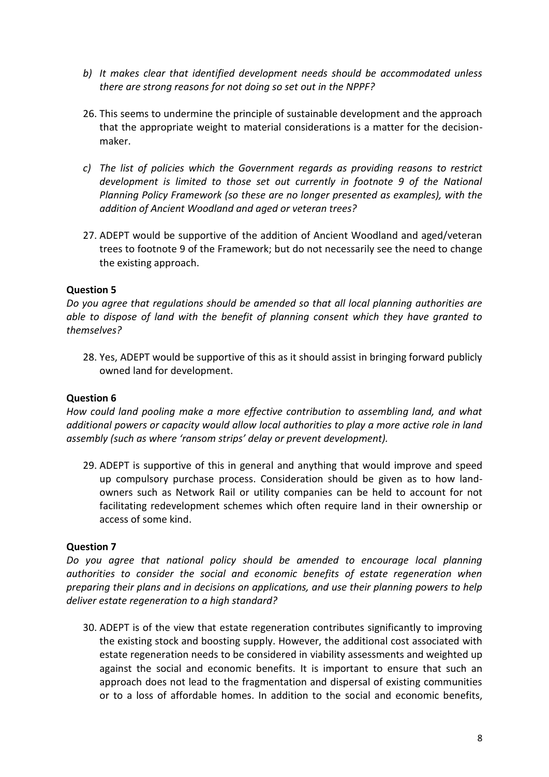- *b) It makes clear that identified development needs should be accommodated unless there are strong reasons for not doing so set out in the NPPF?*
- 26. This seems to undermine the principle of sustainable development and the approach that the appropriate weight to material considerations is a matter for the decisionmaker.
- *c) The list of policies which the Government regards as providing reasons to restrict development is limited to those set out currently in footnote 9 of the National Planning Policy Framework (so these are no longer presented as examples), with the addition of Ancient Woodland and aged or veteran trees?*
- 27. ADEPT would be supportive of the addition of Ancient Woodland and aged/veteran trees to footnote 9 of the Framework; but do not necessarily see the need to change the existing approach.

*Do you agree that regulations should be amended so that all local planning authorities are able to dispose of land with the benefit of planning consent which they have granted to themselves?*

28. Yes, ADEPT would be supportive of this as it should assist in bringing forward publicly owned land for development.

### **Question 6**

*How could land pooling make a more effective contribution to assembling land, and what additional powers or capacity would allow local authorities to play a more active role in land assembly (such as where 'ransom strips' delay or prevent development).* 

29. ADEPT is supportive of this in general and anything that would improve and speed up compulsory purchase process. Consideration should be given as to how landowners such as Network Rail or utility companies can be held to account for not facilitating redevelopment schemes which often require land in their ownership or access of some kind.

### **Question 7**

*Do you agree that national policy should be amended to encourage local planning authorities to consider the social and economic benefits of estate regeneration when preparing their plans and in decisions on applications, and use their planning powers to help deliver estate regeneration to a high standard?*

30. ADEPT is of the view that estate regeneration contributes significantly to improving the existing stock and boosting supply. However, the additional cost associated with estate regeneration needs to be considered in viability assessments and weighted up against the social and economic benefits. It is important to ensure that such an approach does not lead to the fragmentation and dispersal of existing communities or to a loss of affordable homes. In addition to the social and economic benefits,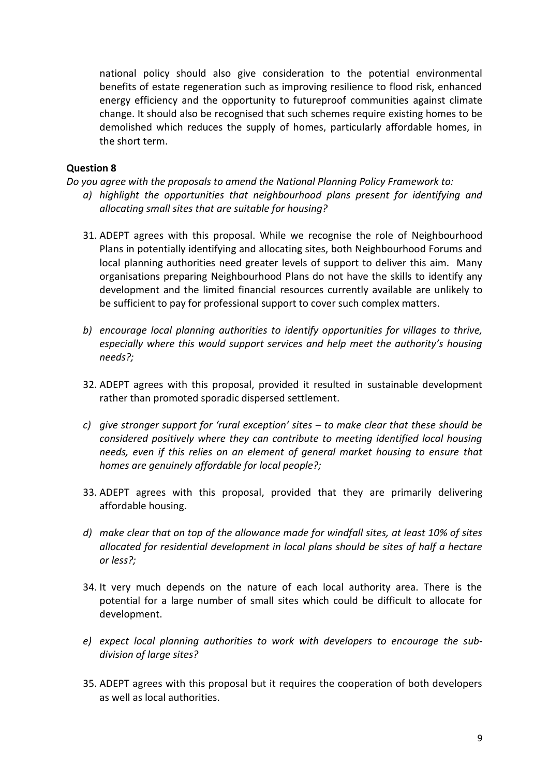national policy should also give consideration to the potential environmental benefits of estate regeneration such as improving resilience to flood risk, enhanced energy efficiency and the opportunity to futureproof communities against climate change. It should also be recognised that such schemes require existing homes to be demolished which reduces the supply of homes, particularly affordable homes, in the short term.

### **Question 8**

*Do you agree with the proposals to amend the National Planning Policy Framework to:* 

- *a) highlight the opportunities that neighbourhood plans present for identifying and allocating small sites that are suitable for housing?*
- 31. ADEPT agrees with this proposal. While we recognise the role of Neighbourhood Plans in potentially identifying and allocating sites, both Neighbourhood Forums and local planning authorities need greater levels of support to deliver this aim. Many organisations preparing Neighbourhood Plans do not have the skills to identify any development and the limited financial resources currently available are unlikely to be sufficient to pay for professional support to cover such complex matters.
- *b) encourage local planning authorities to identify opportunities for villages to thrive, especially where this would support services and help meet the authority's housing needs?;*
- 32. ADEPT agrees with this proposal, provided it resulted in sustainable development rather than promoted sporadic dispersed settlement.
- *c) give stronger support for 'rural exception' sites – to make clear that these should be considered positively where they can contribute to meeting identified local housing needs, even if this relies on an element of general market housing to ensure that homes are genuinely affordable for local people?;*
- 33. ADEPT agrees with this proposal, provided that they are primarily delivering affordable housing.
- *d) make clear that on top of the allowance made for windfall sites, at least 10% of sites allocated for residential development in local plans should be sites of half a hectare or less?;*
- 34. It very much depends on the nature of each local authority area. There is the potential for a large number of small sites which could be difficult to allocate for development.
- *e) expect local planning authorities to work with developers to encourage the subdivision of large sites?*
- 35. ADEPT agrees with this proposal but it requires the cooperation of both developers as well as local authorities.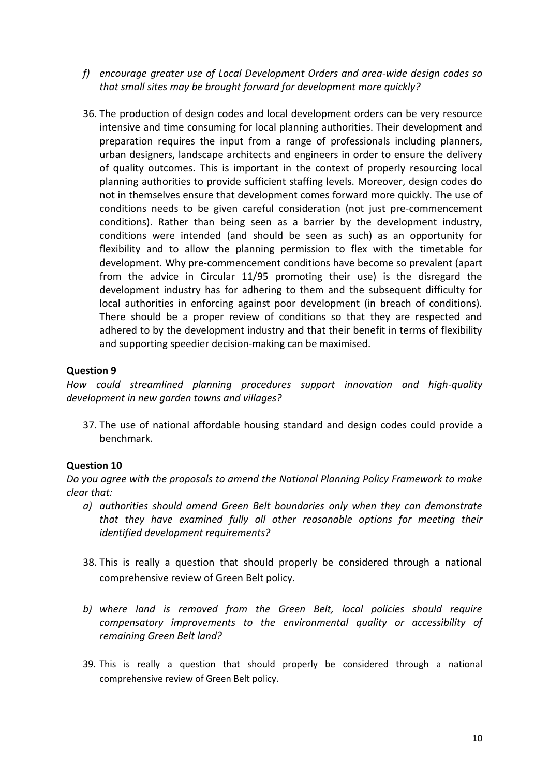- *f) encourage greater use of Local Development Orders and area-wide design codes so that small sites may be brought forward for development more quickly?*
- 36. The production of design codes and local development orders can be very resource intensive and time consuming for local planning authorities. Their development and preparation requires the input from a range of professionals including planners, urban designers, landscape architects and engineers in order to ensure the delivery of quality outcomes. This is important in the context of properly resourcing local planning authorities to provide sufficient staffing levels. Moreover, design codes do not in themselves ensure that development comes forward more quickly. The use of conditions needs to be given careful consideration (not just pre-commencement conditions). Rather than being seen as a barrier by the development industry, conditions were intended (and should be seen as such) as an opportunity for flexibility and to allow the planning permission to flex with the timetable for development. Why pre-commencement conditions have become so prevalent (apart from the advice in Circular 11/95 promoting their use) is the disregard the development industry has for adhering to them and the subsequent difficulty for local authorities in enforcing against poor development (in breach of conditions). There should be a proper review of conditions so that they are respected and adhered to by the development industry and that their benefit in terms of flexibility and supporting speedier decision-making can be maximised.

*How could streamlined planning procedures support innovation and high-quality development in new garden towns and villages?*

37. The use of national affordable housing standard and design codes could provide a benchmark.

### **Question 10**

*Do you agree with the proposals to amend the National Planning Policy Framework to make clear that:* 

- *a) authorities should amend Green Belt boundaries only when they can demonstrate that they have examined fully all other reasonable options for meeting their identified development requirements?*
- 38. This is really a question that should properly be considered through a national comprehensive review of Green Belt policy.
- *b) where land is removed from the Green Belt, local policies should require compensatory improvements to the environmental quality or accessibility of remaining Green Belt land?*
- 39. This is really a question that should properly be considered through a national comprehensive review of Green Belt policy.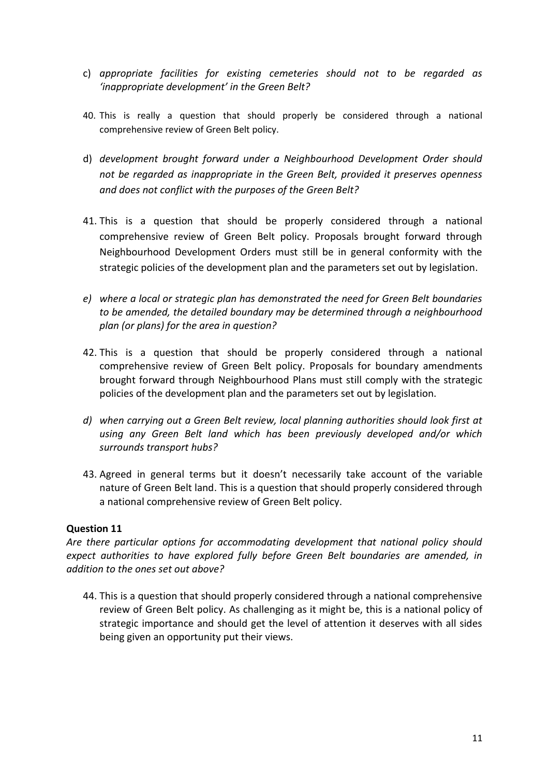- c) *appropriate facilities for existing cemeteries should not to be regarded as 'inappropriate development' in the Green Belt?*
- 40. This is really a question that should properly be considered through a national comprehensive review of Green Belt policy.
- d) *development brought forward under a Neighbourhood Development Order should not be regarded as inappropriate in the Green Belt, provided it preserves openness and does not conflict with the purposes of the Green Belt?*
- 41. This is a question that should be properly considered through a national comprehensive review of Green Belt policy. Proposals brought forward through Neighbourhood Development Orders must still be in general conformity with the strategic policies of the development plan and the parameters set out by legislation.
- *e) where a local or strategic plan has demonstrated the need for Green Belt boundaries to be amended, the detailed boundary may be determined through a neighbourhood plan (or plans) for the area in question?*
- 42. This is a question that should be properly considered through a national comprehensive review of Green Belt policy. Proposals for boundary amendments brought forward through Neighbourhood Plans must still comply with the strategic policies of the development plan and the parameters set out by legislation.
- *d) when carrying out a Green Belt review, local planning authorities should look first at using any Green Belt land which has been previously developed and/or which surrounds transport hubs?*
- 43. Agreed in general terms but it doesn't necessarily take account of the variable nature of Green Belt land. This is a question that should properly considered through a national comprehensive review of Green Belt policy.

*Are there particular options for accommodating development that national policy should expect authorities to have explored fully before Green Belt boundaries are amended, in addition to the ones set out above?*

44. This is a question that should properly considered through a national comprehensive review of Green Belt policy. As challenging as it might be, this is a national policy of strategic importance and should get the level of attention it deserves with all sides being given an opportunity put their views.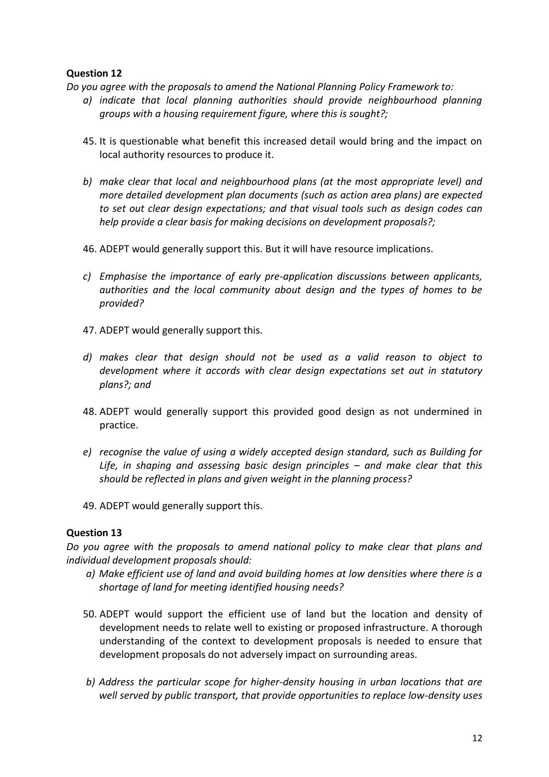*Do you agree with the proposals to amend the National Planning Policy Framework to:* 

- *a) indicate that local planning authorities should provide neighbourhood planning groups with a housing requirement figure, where this is sought?;*
- 45. It is questionable what benefit this increased detail would bring and the impact on local authority resources to produce it.
- *b) make clear that local and neighbourhood plans (at the most appropriate level) and more detailed development plan documents (such as action area plans) are expected to set out clear design expectations; and that visual tools such as design codes can help provide a clear basis for making decisions on development proposals?;*
- 46. ADEPT would generally support this. But it will have resource implications.
- *c) Emphasise the importance of early pre-application discussions between applicants, authorities and the local community about design and the types of homes to be provided?*
- 47. ADEPT would generally support this.
- *d) makes clear that design should not be used as a valid reason to object to development where it accords with clear design expectations set out in statutory plans?; and*
- 48. ADEPT would generally support this provided good design as not undermined in practice.
- *e) recognise the value of using a widely accepted design standard, such as Building for*  Life, in shaping and assessing basic design principles – and make clear that this *should be reflected in plans and given weight in the planning process?*
- 49. ADEPT would generally support this.

## **Question 13**

*Do you agree with the proposals to amend national policy to make clear that plans and individual development proposals should:* 

- *a) Make efficient use of land and avoid building homes at low densities where there is a shortage of land for meeting identified housing needs?*
- 50. ADEPT would support the efficient use of land but the location and density of development needs to relate well to existing or proposed infrastructure. A thorough understanding of the context to development proposals is needed to ensure that development proposals do not adversely impact on surrounding areas.
- *b) Address the particular scope for higher-density housing in urban locations that are well served by public transport, that provide opportunities to replace low-density uses*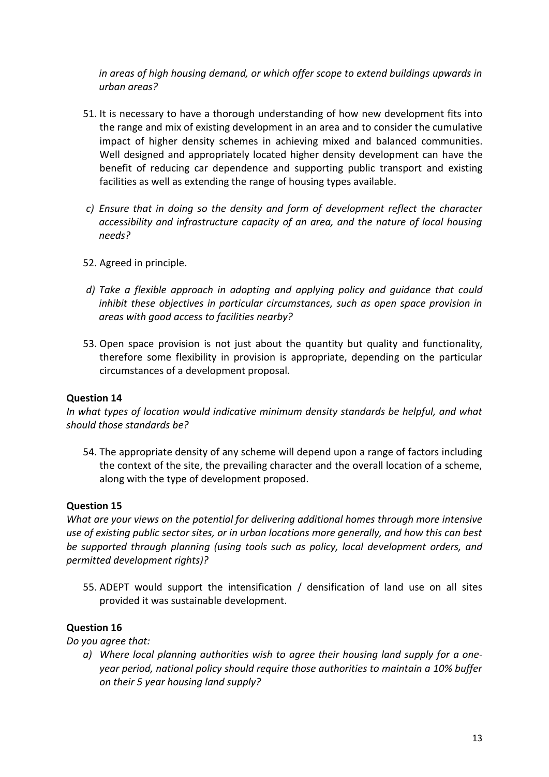*in areas of high housing demand, or which offer scope to extend buildings upwards in urban areas?* 

- 51. It is necessary to have a thorough understanding of how new development fits into the range and mix of existing development in an area and to consider the cumulative impact of higher density schemes in achieving mixed and balanced communities. Well designed and appropriately located higher density development can have the benefit of reducing car dependence and supporting public transport and existing facilities as well as extending the range of housing types available.
- *c) Ensure that in doing so the density and form of development reflect the character accessibility and infrastructure capacity of an area, and the nature of local housing needs?*
- 52. Agreed in principle.
- *d) Take a flexible approach in adopting and applying policy and guidance that could inhibit these objectives in particular circumstances, such as open space provision in areas with good access to facilities nearby?*
- 53. Open space provision is not just about the quantity but quality and functionality, therefore some flexibility in provision is appropriate, depending on the particular circumstances of a development proposal.

### **Question 14**

*In what types of location would indicative minimum density standards be helpful, and what should those standards be?* 

54. The appropriate density of any scheme will depend upon a range of factors including the context of the site, the prevailing character and the overall location of a scheme, along with the type of development proposed.

### **Question 15**

*What are your views on the potential for delivering additional homes through more intensive use of existing public sector sites, or in urban locations more generally, and how this can best be supported through planning (using tools such as policy, local development orders, and permitted development rights)?* 

55. ADEPT would support the intensification / densification of land use on all sites provided it was sustainable development.

### **Question 16**

*Do you agree that:* 

*a) Where local planning authorities wish to agree their housing land supply for a oneyear period, national policy should require those authorities to maintain a 10% buffer on their 5 year housing land supply?*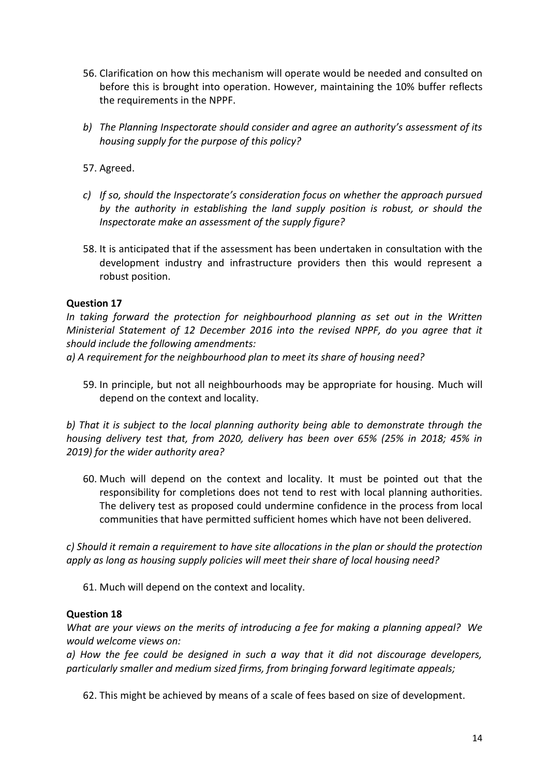- 56. Clarification on how this mechanism will operate would be needed and consulted on before this is brought into operation. However, maintaining the 10% buffer reflects the requirements in the NPPF.
- *b) The Planning Inspectorate should consider and agree an authority's assessment of its housing supply for the purpose of this policy?*
- 57. Agreed.
- *c) If so, should the Inspectorate's consideration focus on whether the approach pursued by the authority in establishing the land supply position is robust, or should the Inspectorate make an assessment of the supply figure?*
- 58. It is anticipated that if the assessment has been undertaken in consultation with the development industry and infrastructure providers then this would represent a robust position.

*In taking forward the protection for neighbourhood planning as set out in the Written Ministerial Statement of 12 December 2016 into the revised NPPF, do you agree that it should include the following amendments:* 

*a) A requirement for the neighbourhood plan to meet its share of housing need?*

59. In principle, but not all neighbourhoods may be appropriate for housing. Much will depend on the context and locality.

*b) That it is subject to the local planning authority being able to demonstrate through the housing delivery test that, from 2020, delivery has been over 65% (25% in 2018; 45% in 2019) for the wider authority area?* 

60. Much will depend on the context and locality. It must be pointed out that the responsibility for completions does not tend to rest with local planning authorities. The delivery test as proposed could undermine confidence in the process from local communities that have permitted sufficient homes which have not been delivered.

*c) Should it remain a requirement to have site allocations in the plan or should the protection apply as long as housing supply policies will meet their share of local housing need?* 

61. Much will depend on the context and locality.

### **Question 18**

*What are your views on the merits of introducing a fee for making a planning appeal? We would welcome views on:* 

*a) How the fee could be designed in such a way that it did not discourage developers, particularly smaller and medium sized firms, from bringing forward legitimate appeals;* 

62. This might be achieved by means of a scale of fees based on size of development.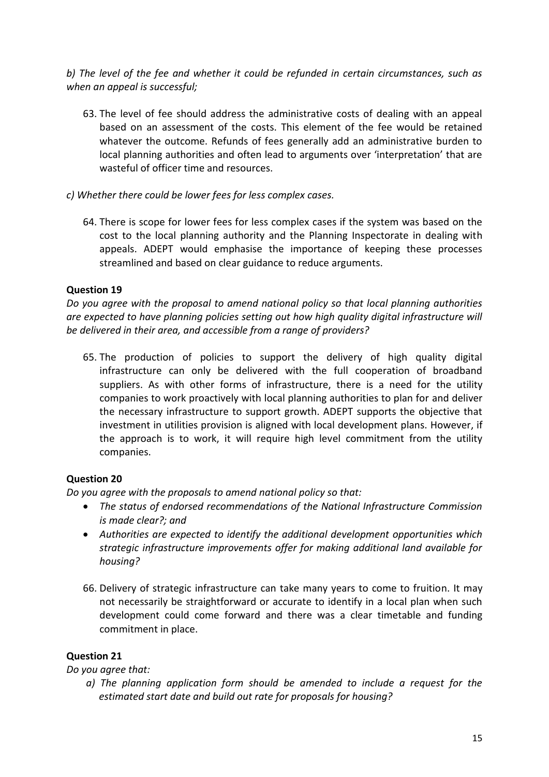*b) The level of the fee and whether it could be refunded in certain circumstances, such as when an appeal is successful;*

- 63. The level of fee should address the administrative costs of dealing with an appeal based on an assessment of the costs. This element of the fee would be retained whatever the outcome. Refunds of fees generally add an administrative burden to local planning authorities and often lead to arguments over 'interpretation' that are wasteful of officer time and resources.
- *c) Whether there could be lower fees for less complex cases.* 
	- 64. There is scope for lower fees for less complex cases if the system was based on the cost to the local planning authority and the Planning Inspectorate in dealing with appeals. ADEPT would emphasise the importance of keeping these processes streamlined and based on clear guidance to reduce arguments.

## **Question 19**

*Do you agree with the proposal to amend national policy so that local planning authorities are expected to have planning policies setting out how high quality digital infrastructure will be delivered in their area, and accessible from a range of providers?* 

65. The production of policies to support the delivery of high quality digital infrastructure can only be delivered with the full cooperation of broadband suppliers. As with other forms of infrastructure, there is a need for the utility companies to work proactively with local planning authorities to plan for and deliver the necessary infrastructure to support growth. ADEPT supports the objective that investment in utilities provision is aligned with local development plans. However, if the approach is to work, it will require high level commitment from the utility companies.

# **Question 20**

*Do you agree with the proposals to amend national policy so that:* 

- *The status of endorsed recommendations of the National Infrastructure Commission is made clear?; and*
- *Authorities are expected to identify the additional development opportunities which strategic infrastructure improvements offer for making additional land available for housing?*
- 66. Delivery of strategic infrastructure can take many years to come to fruition. It may not necessarily be straightforward or accurate to identify in a local plan when such development could come forward and there was a clear timetable and funding commitment in place.

# **Question 21**

*Do you agree that:* 

*a) The planning application form should be amended to include a request for the estimated start date and build out rate for proposals for housing?*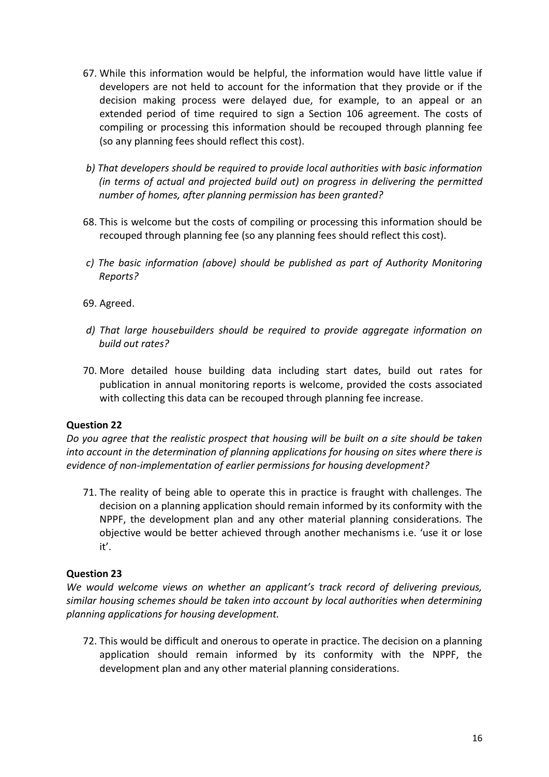- 67. While this information would be helpful, the information would have little value if developers are not held to account for the information that they provide or if the decision making process were delayed due, for example, to an appeal or an extended period of time required to sign a Section 106 agreement. The costs of compiling or processing this information should be recouped through planning fee (so any planning fees should reflect this cost).
- *b) That developers should be required to provide local authorities with basic information (in terms of actual and projected build out) on progress in delivering the permitted number of homes, after planning permission has been granted?*
- 68. This is welcome but the costs of compiling or processing this information should be recouped through planning fee (so any planning fees should reflect this cost).
- *c) The basic information (above) should be published as part of Authority Monitoring Reports?*
- 69. Agreed.
- *d) That large housebuilders should be required to provide aggregate information on build out rates?*
- 70. More detailed house building data including start dates, build out rates for publication in annual monitoring reports is welcome, provided the costs associated with collecting this data can be recouped through planning fee increase.

*Do you agree that the realistic prospect that housing will be built on a site should be taken into account in the determination of planning applications for housing on sites where there is evidence of non-implementation of earlier permissions for housing development?* 

71. The reality of being able to operate this in practice is fraught with challenges. The decision on a planning application should remain informed by its conformity with the NPPF, the development plan and any other material planning considerations. The objective would be better achieved through another mechanisms i.e. 'use it or lose it'.

## **Question 23**

*We would welcome views on whether an applicant's track record of delivering previous, similar housing schemes should be taken into account by local authorities when determining planning applications for housing development.* 

72. This would be difficult and onerous to operate in practice. The decision on a planning application should remain informed by its conformity with the NPPF, the development plan and any other material planning considerations.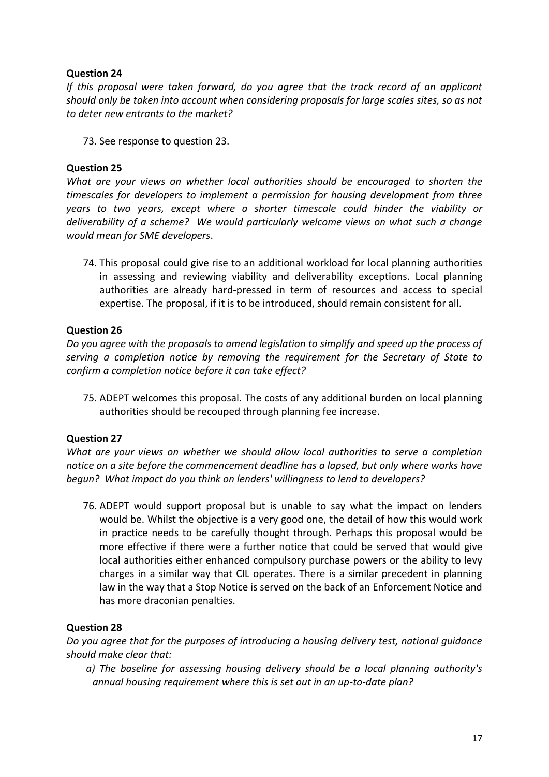*If this proposal were taken forward, do you agree that the track record of an applicant should only be taken into account when considering proposals for large scales sites, so as not to deter new entrants to the market?* 

73. See response to question 23.

## **Question 25**

*What are your views on whether local authorities should be encouraged to shorten the timescales for developers to implement a permission for housing development from three years to two years, except where a shorter timescale could hinder the viability or deliverability of a scheme? We would particularly welcome views on what such a change would mean for SME developers*.

74. This proposal could give rise to an additional workload for local planning authorities in assessing and reviewing viability and deliverability exceptions. Local planning authorities are already hard-pressed in term of resources and access to special expertise. The proposal, if it is to be introduced, should remain consistent for all.

## **Question 26**

*Do you agree with the proposals to amend legislation to simplify and speed up the process of serving a completion notice by removing the requirement for the Secretary of State to confirm a completion notice before it can take effect?* 

75. ADEPT welcomes this proposal. The costs of any additional burden on local planning authorities should be recouped through planning fee increase.

### **Question 27**

*What are your views on whether we should allow local authorities to serve a completion notice on a site before the commencement deadline has a lapsed, but only where works have begun? What impact do you think on lenders' willingness to lend to developers?*

76. ADEPT would support proposal but is unable to say what the impact on lenders would be. Whilst the objective is a very good one, the detail of how this would work in practice needs to be carefully thought through. Perhaps this proposal would be more effective if there were a further notice that could be served that would give local authorities either enhanced compulsory purchase powers or the ability to levy charges in a similar way that CIL operates. There is a similar precedent in planning law in the way that a Stop Notice is served on the back of an Enforcement Notice and has more draconian penalties.

## **Question 28**

*Do you agree that for the purposes of introducing a housing delivery test, national guidance should make clear that:* 

*a) The baseline for assessing housing delivery should be a local planning authority's annual housing requirement where this is set out in an up-to-date plan?*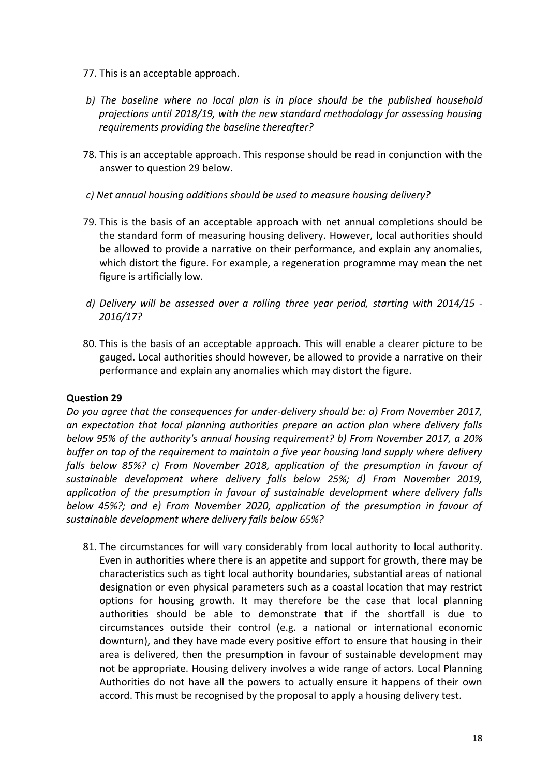- 77. This is an acceptable approach.
- *b) The baseline where no local plan is in place should be the published household projections until 2018/19, with the new standard methodology for assessing housing requirements providing the baseline thereafter?*
- 78. This is an acceptable approach. This response should be read in conjunction with the answer to question 29 below.
- *c) Net annual housing additions should be used to measure housing delivery?*
- 79. This is the basis of an acceptable approach with net annual completions should be the standard form of measuring housing delivery. However, local authorities should be allowed to provide a narrative on their performance, and explain any anomalies, which distort the figure. For example, a regeneration programme may mean the net figure is artificially low.
- *d) Delivery will be assessed over a rolling three year period, starting with 2014/15 - 2016/17?*
- 80. This is the basis of an acceptable approach. This will enable a clearer picture to be gauged. Local authorities should however, be allowed to provide a narrative on their performance and explain any anomalies which may distort the figure.

*Do you agree that the consequences for under-delivery should be: a) From November 2017, an expectation that local planning authorities prepare an action plan where delivery falls below 95% of the authority's annual housing requirement? b) From November 2017, a 20% buffer on top of the requirement to maintain a five year housing land supply where delivery falls below 85%? c) From November 2018, application of the presumption in favour of sustainable development where delivery falls below 25%; d) From November 2019, application of the presumption in favour of sustainable development where delivery falls below 45%?; and e) From November 2020, application of the presumption in favour of sustainable development where delivery falls below 65%?* 

81. The circumstances for will vary considerably from local authority to local authority. Even in authorities where there is an appetite and support for growth, there may be characteristics such as tight local authority boundaries, substantial areas of national designation or even physical parameters such as a coastal location that may restrict options for housing growth. It may therefore be the case that local planning authorities should be able to demonstrate that if the shortfall is due to circumstances outside their control (e.g. a national or international economic downturn), and they have made every positive effort to ensure that housing in their area is delivered, then the presumption in favour of sustainable development may not be appropriate. Housing delivery involves a wide range of actors. Local Planning Authorities do not have all the powers to actually ensure it happens of their own accord. This must be recognised by the proposal to apply a housing delivery test.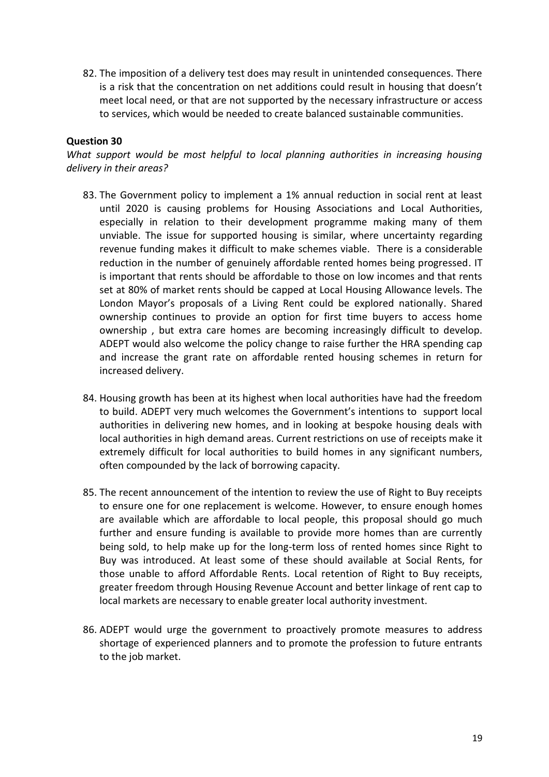82. The imposition of a delivery test does may result in unintended consequences. There is a risk that the concentration on net additions could result in housing that doesn't meet local need, or that are not supported by the necessary infrastructure or access to services, which would be needed to create balanced sustainable communities.

### **Question 30**

*What support would be most helpful to local planning authorities in increasing housing delivery in their areas?* 

- 83. The Government policy to implement a 1% annual reduction in social rent at least until 2020 is causing problems for Housing Associations and Local Authorities, especially in relation to their development programme making many of them unviable. The issue for supported housing is similar, where uncertainty regarding revenue funding makes it difficult to make schemes viable. There is a considerable reduction in the number of genuinely affordable rented homes being progressed. IT is important that rents should be affordable to those on low incomes and that rents set at 80% of market rents should be capped at Local Housing Allowance levels. The London Mayor's proposals of a Living Rent could be explored nationally. Shared ownership continues to provide an option for first time buyers to access home ownership , but extra care homes are becoming increasingly difficult to develop. ADEPT would also welcome the policy change to raise further the HRA spending cap and increase the grant rate on affordable rented housing schemes in return for increased delivery.
- 84. Housing growth has been at its highest when local authorities have had the freedom to build. ADEPT very much welcomes the Government's intentions to support local authorities in delivering new homes, and in looking at bespoke housing deals with local authorities in high demand areas. Current restrictions on use of receipts make it extremely difficult for local authorities to build homes in any significant numbers, often compounded by the lack of borrowing capacity.
- 85. The recent announcement of the intention to review the use of Right to Buy receipts to ensure one for one replacement is welcome. However, to ensure enough homes are available which are affordable to local people, this proposal should go much further and ensure funding is available to provide more homes than are currently being sold, to help make up for the long-term loss of rented homes since Right to Buy was introduced. At least some of these should available at Social Rents, for those unable to afford Affordable Rents. Local retention of Right to Buy receipts, greater freedom through Housing Revenue Account and better linkage of rent cap to local markets are necessary to enable greater local authority investment.
- 86. ADEPT would urge the government to proactively promote measures to address shortage of experienced planners and to promote the profession to future entrants to the job market.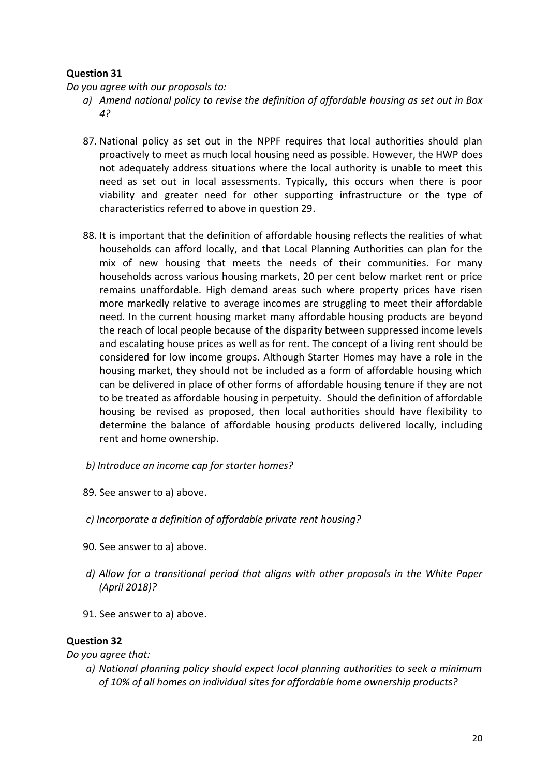*Do you agree with our proposals to:* 

- *a) Amend national policy to revise the definition of affordable housing as set out in Box 4?*
- 87. National policy as set out in the NPPF requires that local authorities should plan proactively to meet as much local housing need as possible. However, the HWP does not adequately address situations where the local authority is unable to meet this need as set out in local assessments. Typically, this occurs when there is poor viability and greater need for other supporting infrastructure or the type of characteristics referred to above in question 29.
- 88. It is important that the definition of affordable housing reflects the realities of what households can afford locally, and that Local Planning Authorities can plan for the mix of new housing that meets the needs of their communities. For many households across various housing markets, 20 per cent below market rent or price remains unaffordable. High demand areas such where property prices have risen more markedly relative to average incomes are struggling to meet their affordable need. In the current housing market many affordable housing products are beyond the reach of local people because of the disparity between suppressed income levels and escalating house prices as well as for rent. The concept of a living rent should be considered for low income groups. Although Starter Homes may have a role in the housing market, they should not be included as a form of affordable housing which can be delivered in place of other forms of affordable housing tenure if they are not to be treated as affordable housing in perpetuity. Should the definition of affordable housing be revised as proposed, then local authorities should have flexibility to determine the balance of affordable housing products delivered locally, including rent and home ownership.
- *b) Introduce an income cap for starter homes?*
- 89. See answer to a) above.
- *c) Incorporate a definition of affordable private rent housing?*
- 90. See answer to a) above.
- *d) Allow for a transitional period that aligns with other proposals in the White Paper (April 2018)?*
- 91. See answer to a) above.

### **Question 32**

*Do you agree that:* 

*a) National planning policy should expect local planning authorities to seek a minimum of 10% of all homes on individual sites for affordable home ownership products?*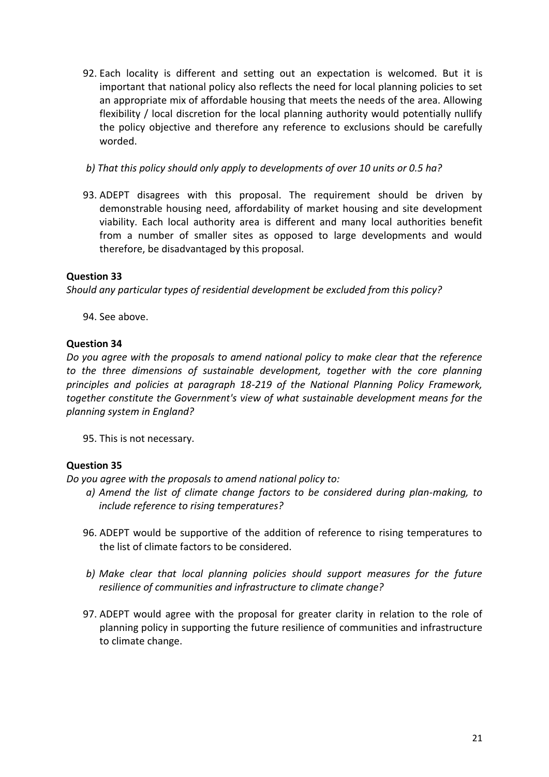- 92. Each locality is different and setting out an expectation is welcomed. But it is important that national policy also reflects the need for local planning policies to set an appropriate mix of affordable housing that meets the needs of the area. Allowing flexibility / local discretion for the local planning authority would potentially nullify the policy objective and therefore any reference to exclusions should be carefully worded.
- *b) That this policy should only apply to developments of over 10 units or 0.5 ha?*
- 93. ADEPT disagrees with this proposal. The requirement should be driven by demonstrable housing need, affordability of market housing and site development viability. Each local authority area is different and many local authorities benefit from a number of smaller sites as opposed to large developments and would therefore, be disadvantaged by this proposal.

*Should any particular types of residential development be excluded from this policy?* 

94. See above.

### **Question 34**

*Do you agree with the proposals to amend national policy to make clear that the reference to the three dimensions of sustainable development, together with the core planning principles and policies at paragraph 18-219 of the National Planning Policy Framework, together constitute the Government's view of what sustainable development means for the planning system in England?* 

95. This is not necessary.

## **Question 35**

*Do you agree with the proposals to amend national policy to:* 

- *a) Amend the list of climate change factors to be considered during plan-making, to include reference to rising temperatures?*
- 96. ADEPT would be supportive of the addition of reference to rising temperatures to the list of climate factors to be considered.
- *b) Make clear that local planning policies should support measures for the future resilience of communities and infrastructure to climate change?*
- 97. ADEPT would agree with the proposal for greater clarity in relation to the role of planning policy in supporting the future resilience of communities and infrastructure to climate change.